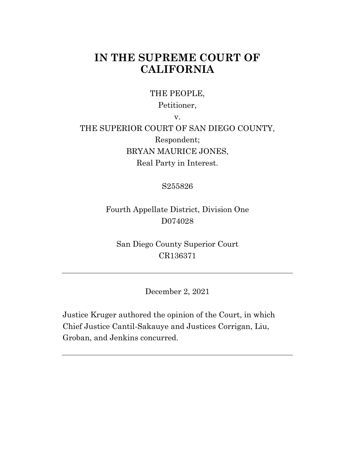# **IN THE SUPREME COURT OF CALIFORNIA**

THE PEOPLE,

Petitioner,

v.

THE SUPERIOR COURT OF SAN DIEGO COUNTY, Respondent; BRYAN MAURICE JONES, Real Party in Interest.

S255826

Fourth Appellate District, Division One D074028

San Diego County Superior Court CR136371

December 2, 2021

Justice Kruger authored the opinion of the Court, in which Chief Justice Cantil-Sakauye and Justices Corrigan, Liu, Groban, and Jenkins concurred.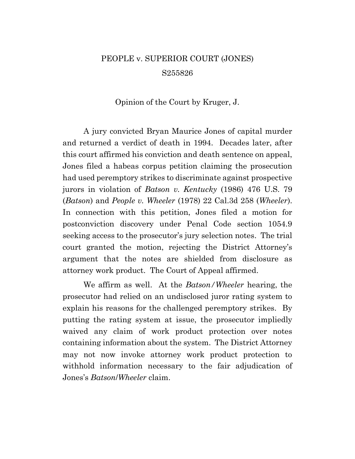# PEOPLE v. SUPERIOR COURT (JONES) S255826

Opinion of the Court by Kruger, J.

A jury convicted Bryan Maurice Jones of capital murder and returned a verdict of death in 1994. Decades later, after this court affirmed his conviction and death sentence on appeal, Jones filed a habeas corpus petition claiming the prosecution had used peremptory strikes to discriminate against prospective jurors in violation of *Batson v. Kentucky* (1986) 476 U.S. 79 (*Batson*) and *People v. Wheeler* (1978) 22 Cal.3d 258 (*Wheeler*). In connection with this petition, Jones filed a motion for postconviction discovery under Penal Code section 1054.9 seeking access to the prosecutor's jury selection notes. The trial court granted the motion, rejecting the District Attorney's argument that the notes are shielded from disclosure as attorney work product. The Court of Appeal affirmed.

We affirm as well. At the *Batson/Wheeler* hearing, the prosecutor had relied on an undisclosed juror rating system to explain his reasons for the challenged peremptory strikes. By putting the rating system at issue, the prosecutor impliedly waived any claim of work product protection over notes containing information about the system. The District Attorney may not now invoke attorney work product protection to withhold information necessary to the fair adjudication of Jones's *Batson*/*Wheeler* claim.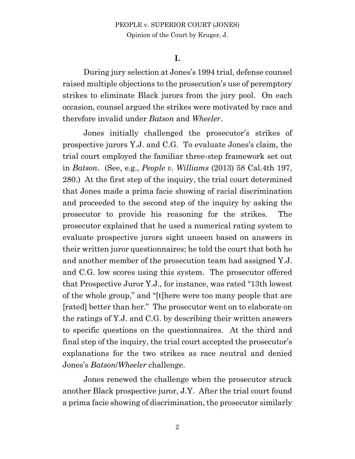**I.**

During jury selection at Jones's 1994 trial, defense counsel raised multiple objections to the prosecution's use of peremptory strikes to eliminate Black jurors from the jury pool. On each occasion, counsel argued the strikes were motivated by race and therefore invalid under *Batson* and *Wheeler*.

Jones initially challenged the prosecutor's strikes of prospective jurors Y.J. and C.G. To evaluate Jones's claim, the trial court employed the familiar three-step framework set out in *Batson*. (See, e.g., *People v. Williams* (2013) 58 Cal.4th 197, 280.) At the first step of the inquiry, the trial court determined that Jones made a prima facie showing of racial discrimination and proceeded to the second step of the inquiry by asking the prosecutor to provide his reasoning for the strikes. The prosecutor explained that he used a numerical rating system to evaluate prospective jurors sight unseen based on answers in their written juror questionnaires; he told the court that both he and another member of the prosecution team had assigned Y.J. and C.G. low scores using this system. The prosecutor offered that Prospective Juror Y.J., for instance, was rated "13th lowest of the whole group," and "[t]here were too many people that are [rated] better than her." The prosecutor went on to elaborate on the ratings of Y.J. and C.G. by describing their written answers to specific questions on the questionnaires. At the third and final step of the inquiry, the trial court accepted the prosecutor's explanations for the two strikes as race neutral and denied Jones's *Batson*/*Wheeler* challenge.

Jones renewed the challenge when the prosecutor struck another Black prospective juror, J.Y. After the trial court found a prima facie showing of discrimination, the prosecutor similarly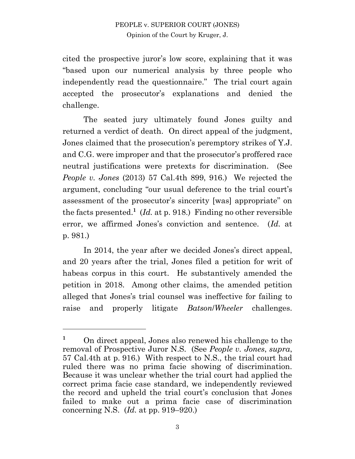cited the prospective juror's low score, explaining that it was "based upon our numerical analysis by three people who independently read the questionnaire." The trial court again accepted the prosecutor's explanations and denied the challenge.

The seated jury ultimately found Jones guilty and returned a verdict of death. On direct appeal of the judgment, Jones claimed that the prosecution's peremptory strikes of Y.J. and C.G. were improper and that the prosecutor's proffered race neutral justifications were pretexts for discrimination. (See *People v. Jones* (2013) 57 Cal.4th 899, 916.) We rejected the argument, concluding "our usual deference to the trial court's assessment of the prosecutor's sincerity [was] appropriate" on the facts presented.<sup>1</sup> (*Id.* at p. 918.) Finding no other reversible error, we affirmed Jones's conviction and sentence. (*Id.* at p. 981.)

In 2014, the year after we decided Jones's direct appeal, and 20 years after the trial, Jones filed a petition for writ of habeas corpus in this court. He substantively amended the petition in 2018. Among other claims, the amended petition alleged that Jones's trial counsel was ineffective for failing to raise and properly litigate *Batson*/*Wheeler* challenges.

<sup>&</sup>lt;sup>1</sup> On direct appeal, Jones also renewed his challenge to the removal of Prospective Juror N.S. (See *People v. Jones*, *supra*, 57 Cal.4th at p. 916.) With respect to N.S., the trial court had ruled there was no prima facie showing of discrimination. Because it was unclear whether the trial court had applied the correct prima facie case standard, we independently reviewed the record and upheld the trial court's conclusion that Jones failed to make out a prima facie case of discrimination concerning N.S. (*Id.* at pp. 919–920.)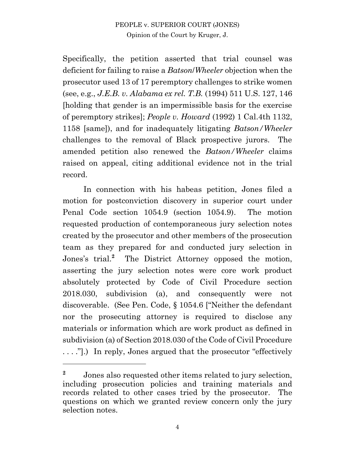Specifically, the petition asserted that trial counsel was deficient for failing to raise a *Batson*/*Wheeler* objection when the prosecutor used 13 of 17 peremptory challenges to strike women (see, e.g., *J.E.B. v. Alabama ex rel. T.B.* (1994) 511 U.S. 127, 146 [holding that gender is an impermissible basis for the exercise of peremptory strikes]; *People v. Howard* (1992) 1 Cal.4th 1132, 1158 [same]), and for inadequately litigating *Batson/Wheeler* challenges to the removal of Black prospective jurors. The amended petition also renewed the *Batson/Wheeler* claims raised on appeal, citing additional evidence not in the trial record.

In connection with his habeas petition, Jones filed a motion for postconviction discovery in superior court under Penal Code section 1054.9 (section 1054.9). The motion requested production of contemporaneous jury selection notes created by the prosecutor and other members of the prosecution team as they prepared for and conducted jury selection in Jones's trial. **<sup>2</sup>** The District Attorney opposed the motion, asserting the jury selection notes were core work product absolutely protected by Code of Civil Procedure section 2018.030, subdivision (a), and consequently were not discoverable. (See Pen. Code, § 1054.6 ["Neither the defendant nor the prosecuting attorney is required to disclose any materials or information which are work product as defined in subdivision (a) of Section 2018.030 of the Code of Civil Procedure . . . ."].) In reply, Jones argued that the prosecutor "effectively

<sup>&</sup>lt;sup>2</sup> Jones also requested other items related to jury selection, including prosecution policies and training materials and records related to other cases tried by the prosecutor. The questions on which we granted review concern only the jury selection notes.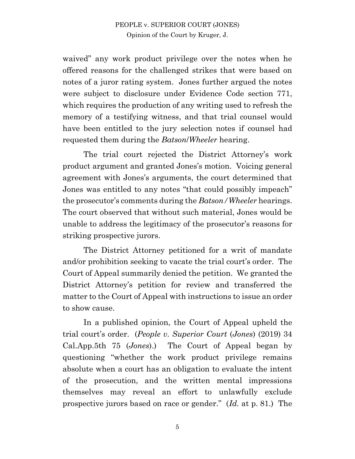waived" any work product privilege over the notes when he offered reasons for the challenged strikes that were based on notes of a juror rating system. Jones further argued the notes were subject to disclosure under Evidence Code section 771, which requires the production of any writing used to refresh the memory of a testifying witness, and that trial counsel would have been entitled to the jury selection notes if counsel had requested them during the *Batson*/*Wheeler* hearing.

The trial court rejected the District Attorney's work product argument and granted Jones's motion. Voicing general agreement with Jones's arguments, the court determined that Jones was entitled to any notes "that could possibly impeach" the prosecutor's comments during the *Batson/Wheeler* hearings. The court observed that without such material, Jones would be unable to address the legitimacy of the prosecutor's reasons for striking prospective jurors.

The District Attorney petitioned for a writ of mandate and/or prohibition seeking to vacate the trial court's order. The Court of Appeal summarily denied the petition. We granted the District Attorney's petition for review and transferred the matter to the Court of Appeal with instructions to issue an order to show cause.

In a published opinion, the Court of Appeal upheld the trial court's order. (*People v. Superior Court* (*Jones*) (2019) 34 Cal.App.5th 75 (*Jones*).) The Court of Appeal began by questioning "whether the work product privilege remains absolute when a court has an obligation to evaluate the intent of the prosecution, and the written mental impressions themselves may reveal an effort to unlawfully exclude prospective jurors based on race or gender." (*Id.* at p. 81.) The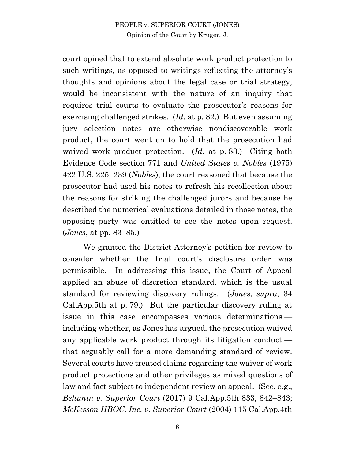court opined that to extend absolute work product protection to such writings, as opposed to writings reflecting the attorney's thoughts and opinions about the legal case or trial strategy, would be inconsistent with the nature of an inquiry that requires trial courts to evaluate the prosecutor's reasons for exercising challenged strikes. (*Id.* at p. 82.) But even assuming jury selection notes are otherwise nondiscoverable work product, the court went on to hold that the prosecution had waived work product protection. (*Id.* at p. 83.) Citing both Evidence Code section 771 and *United States v. Nobles* (1975) 422 U.S. 225, 239 (*Nobles*), the court reasoned that because the prosecutor had used his notes to refresh his recollection about the reasons for striking the challenged jurors and because he described the numerical evaluations detailed in those notes, the opposing party was entitled to see the notes upon request. (*Jones*, at pp. 83–85.)

We granted the District Attorney's petition for review to consider whether the trial court's disclosure order was permissible. In addressing this issue, the Court of Appeal applied an abuse of discretion standard, which is the usual standard for reviewing discovery rulings. (*Jones*, *supra*, 34 Cal.App.5th at p. 79.) But the particular discovery ruling at issue in this case encompasses various determinations including whether, as Jones has argued, the prosecution waived any applicable work product through its litigation conduct that arguably call for a more demanding standard of review. Several courts have treated claims regarding the waiver of work product protections and other privileges as mixed questions of law and fact subject to independent review on appeal. (See, e.g., *Behunin v. Superior Court* (2017) 9 Cal.App.5th 833, 842–843; *McKesson HBOC, Inc. v. Superior Court* (2004) 115 Cal.App.4th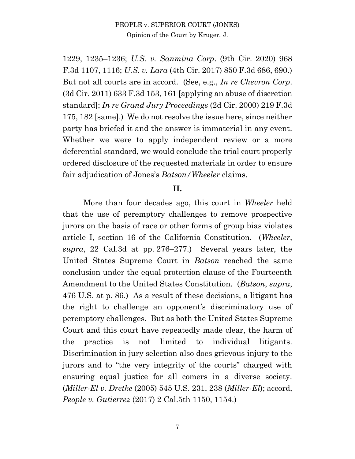1229, 1235–1236; *U.S. v. Sanmina Corp*. (9th Cir. 2020) 968 F.3d 1107, 1116; *U.S. v. Lara* (4th Cir. 2017) 850 F.3d 686, 690.) But not all courts are in accord. (See, e.g., *In re Chevron Corp*. (3d Cir. 2011) 633 F.3d 153, 161 [applying an abuse of discretion standard]; *In re Grand Jury Proceedings* (2d Cir. 2000) 219 F.3d 175, 182 [same].) We do not resolve the issue here, since neither party has briefed it and the answer is immaterial in any event. Whether we were to apply independent review or a more deferential standard, we would conclude the trial court properly ordered disclosure of the requested materials in order to ensure fair adjudication of Jones's *Batson/Wheeler* claims.

#### **II.**

More than four decades ago, this court in *Wheeler* held that the use of peremptory challenges to remove prospective jurors on the basis of race or other forms of group bias violates article I, section 16 of the California Constitution. (*Wheeler*, *supra*, 22 Cal.3d at pp. 276–277.) Several years later, the United States Supreme Court in *Batson* reached the same conclusion under the equal protection clause of the Fourteenth Amendment to the United States Constitution. (*Batson*, *supra*, 476 U.S. at p. 86.) As a result of these decisions, a litigant has the right to challenge an opponent's discriminatory use of peremptory challenges. But as both the United States Supreme Court and this court have repeatedly made clear, the harm of the practice is not limited to individual litigants. Discrimination in jury selection also does grievous injury to the jurors and to "the very integrity of the courts" charged with ensuring equal justice for all comers in a diverse society. (*Miller-El v. Dretke* (2005) 545 U.S. 231, 238 (*Miller-El*); accord, *People v. Gutierrez* (2017) 2 Cal.5th 1150, 1154.)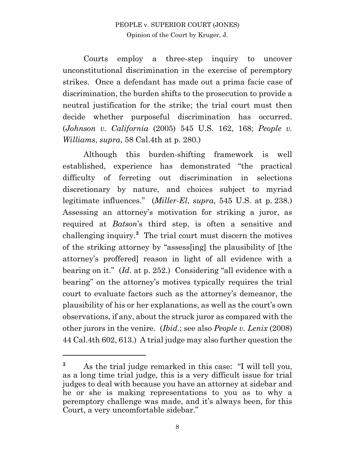Courts employ a three-step inquiry to uncover unconstitutional discrimination in the exercise of peremptory strikes. Once a defendant has made out a prima facie case of discrimination, the burden shifts to the prosecution to provide a neutral justification for the strike; the trial court must then decide whether purposeful discrimination has occurred. (*Johnson v. California* (2005) 545 U.S. 162, 168; *People v. Williams*, *supra*, 58 Cal.4th at p. 280.)

Although this burden-shifting framework is well established, experience has demonstrated "the practical difficulty of ferreting out discrimination in selections discretionary by nature, and choices subject to myriad legitimate influences." (*Miller-El*, *supra*, 545 U.S. at p. 238.) Assessing an attorney's motivation for striking a juror, as required at *Batson*'s third step, is often a sensitive and challenging inquiry.**<sup>3</sup>** The trial court must discern the motives of the striking attorney by "assess[ing] the plausibility of [the attorney's proffered] reason in light of all evidence with a bearing on it." (*Id*. at p. 252.) Considering "all evidence with a bearing" on the attorney's motives typically requires the trial court to evaluate factors such as the attorney's demeanor, the plausibility of his or her explanations, as well as the court's own observations, if any, about the struck juror as compared with the other jurors in the venire. (*Ibid.*; see also *People v. Lenix* (2008) 44 Cal.4th 602, 613.) A trial judge may also further question the

**<sup>3</sup>** As the trial judge remarked in this case: "I will tell you, as a long time trial judge, this is a very difficult issue for trial judges to deal with because you have an attorney at sidebar and he or she is making representations to you as to why a peremptory challenge was made, and it's always been, for this Court, a very uncomfortable sidebar."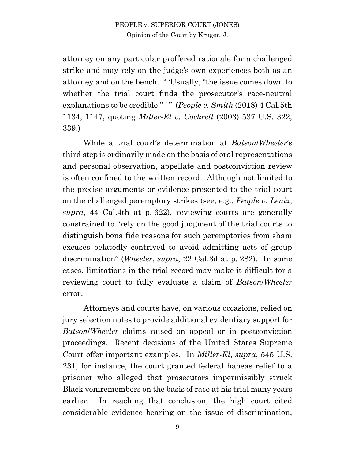attorney on any particular proffered rationale for a challenged strike and may rely on the judge's own experiences both as an attorney and on the bench. " 'Usually, "the issue comes down to whether the trial court finds the prosecutor's race-neutral explanations to be credible." ' " (*People v. Smith* (2018) 4 Cal.5th 1134, 1147, quoting *Miller*-*El v. Cockrell* (2003) 537 U.S. 322, 339.)

While a trial court's determination at *Batson*/*Wheeler*'s third step is ordinarily made on the basis of oral representations and personal observation, appellate and postconviction review is often confined to the written record. Although not limited to the precise arguments or evidence presented to the trial court on the challenged peremptory strikes (see, e.g., *People v. Lenix*, *supra*, 44 Cal.4th at p. 622), reviewing courts are generally constrained to "rely on the good judgment of the trial courts to distinguish bona fide reasons for such peremptories from sham excuses belatedly contrived to avoid admitting acts of group discrimination" (*Wheeler*, *supra*, 22 Cal.3d at p. 282).In some cases, limitations in the trial record may make it difficult for a reviewing court to fully evaluate a claim of *Batson*/*Wheeler* error.

Attorneys and courts have, on various occasions, relied on jury selection notes to provide additional evidentiary support for *Batson*/*Wheeler* claims raised on appeal or in postconviction proceedings. Recent decisions of the United States Supreme Court offer important examples. In *Miller-El*, *supra*, 545 U.S. 231, for instance, the court granted federal habeas relief to a prisoner who alleged that prosecutors impermissibly struck Black veniremembers on the basis of race at his trial many years earlier. In reaching that conclusion, the high court cited considerable evidence bearing on the issue of discrimination,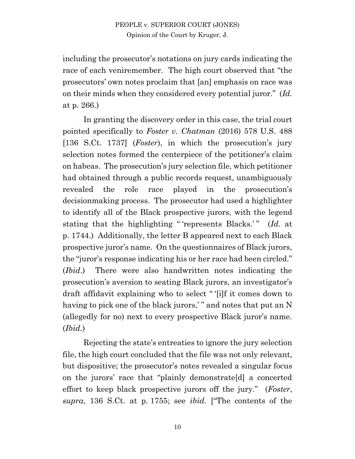including the prosecutor's notations on jury cards indicating the race of each veniremember. The high court observed that "the prosecutors' own notes proclaim that [an] emphasis on race was on their minds when they considered every potential juror." (*Id.*  at p. 266.)

In granting the discovery order in this case, the trial court pointed specifically to *Foster v. Chatman* (2016) 578 U.S. 488 [136 S.Ct. 1737] (*Foster*), in which the prosecution's jury selection notes formed the centerpiece of the petitioner's claim on habeas. The prosecution's jury selection file, which petitioner had obtained through a public records request, unambiguously revealed the role race played in the prosecution's decisionmaking process. The prosecutor had used a highlighter to identify all of the Black prospective jurors, with the legend stating that the highlighting " 'represents Blacks.' " (*Id.* at p. 1744.) Additionally, the letter B appeared next to each Black prospective juror's name. On the questionnaires of Black jurors, the "juror's response indicating his or her race had been circled." (*Ibid*.) There were also handwritten notes indicating the prosecution's aversion to seating Black jurors, an investigator's draft affidavit explaining who to select " '[i]f it comes down to having to pick one of the black jurors," and notes that put an N (allegedly for no) next to every prospective Black juror's name. (*Ibid.*)

Rejecting the state's entreaties to ignore the jury selection file, the high court concluded that the file was not only relevant, but dispositive; the prosecutor's notes revealed a singular focus on the jurors' race that "plainly demonstrate[d] a concerted effort to keep black prospective jurors off the jury." (*Foster*, *supra*, 136 S.Ct. at p. 1755; see *ibid.* ["The contents of the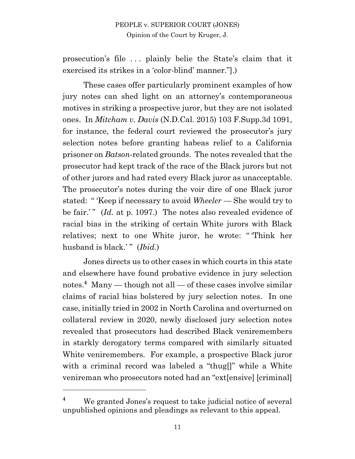prosecution's file . . . plainly belie the State's claim that it exercised its strikes in a 'color-blind' manner."].)

These cases offer particularly prominent examples of how jury notes can shed light on an attorney's contemporaneous motives in striking a prospective juror, but they are not isolated ones. In *Mitcham v. Davis* (N.D.Cal. 2015) 103 F.Supp.3d 1091, for instance, the federal court reviewed the prosecutor's jury selection notes before granting habeas relief to a California prisoner on *Batson*-related grounds. The notes revealed that the prosecutor had kept track of the race of the Black jurors but not of other jurors and had rated every Black juror as unacceptable. The prosecutor's notes during the voir dire of one Black juror stated: " 'Keep if necessary to avoid *Wheeler* — She would try to be fair.'" (*Id.* at p. 1097.) The notes also revealed evidence of racial bias in the striking of certain White jurors with Black relatives; next to one White juror, he wrote: " 'Think her husband is black.'" (*Ibid.*)

Jones directs us to other cases in which courts in this state and elsewhere have found probative evidence in jury selection notes. **<sup>4</sup>** Many — though not all — of these cases involve similar claims of racial bias bolstered by jury selection notes. In one case, initially tried in 2002 in North Carolina and overturned on collateral review in 2020, newly disclosed jury selection notes revealed that prosecutors had described Black veniremembers in starkly derogatory terms compared with similarly situated White veniremembers. For example, a prospective Black juror with a criminal record was labeled a "thug[]" while a White venireman who prosecutors noted had an "ext[ensive] [criminal]

**<sup>4</sup>** We granted Jones's request to take judicial notice of several unpublished opinions and pleadings as relevant to this appeal.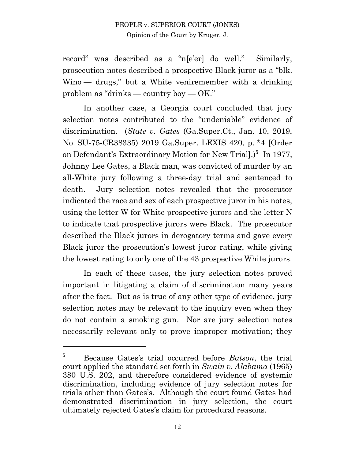record" was described as a "n[e'er] do well." Similarly, prosecution notes described a prospective Black juror as a "blk. Wino — drugs," but a White veniremember with a drinking problem as "drinks — country boy — OK."

In another case, a Georgia court concluded that jury selection notes contributed to the "undeniable" evidence of discrimination. (*State v. Gates* (Ga.Super.Ct., Jan. 10, 2019, No. SU-75-CR38335) 2019 Ga.Super. LEXIS 420, p. \*4 [Order on Defendant's Extraordinary Motion for New Trial].)**<sup>5</sup>** In 1977, Johnny Lee Gates, a Black man, was convicted of murder by an all-White jury following a three-day trial and sentenced to death. Jury selection notes revealed that the prosecutor indicated the race and sex of each prospective juror in his notes, using the letter W for White prospective jurors and the letter N to indicate that prospective jurors were Black. The prosecutor described the Black jurors in derogatory terms and gave every Black juror the prosecution's lowest juror rating, while giving the lowest rating to only one of the 43 prospective White jurors.

In each of these cases, the jury selection notes proved important in litigating a claim of discrimination many years after the fact. But as is true of any other type of evidence, jury selection notes may be relevant to the inquiry even when they do not contain a smoking gun. Nor are jury selection notes necessarily relevant only to prove improper motivation; they

**<sup>5</sup>** Because Gates's trial occurred before *Batson*, the trial court applied the standard set forth in *Swain v. Alabama* (1965) 380 U.S. 202, and therefore considered evidence of systemic discrimination, including evidence of jury selection notes for trials other than Gates's. Although the court found Gates had demonstrated discrimination in jury selection, the court ultimately rejected Gates's claim for procedural reasons.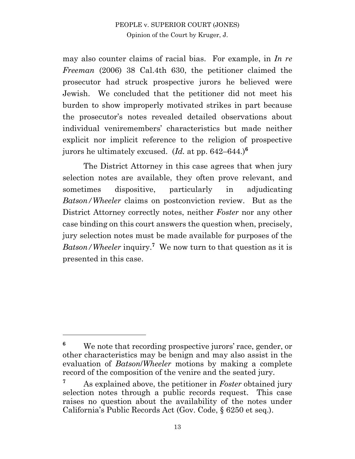may also counter claims of racial bias. For example, in *In re Freeman* (2006) 38 Cal.4th 630, the petitioner claimed the prosecutor had struck prospective jurors he believed were Jewish. We concluded that the petitioner did not meet his burden to show improperly motivated strikes in part because the prosecutor's notes revealed detailed observations about individual veniremembers' characteristics but made neither explicit nor implicit reference to the religion of prospective jurors he ultimately excused. (*Id.* at pp. 642–644.) **6**

The District Attorney in this case agrees that when jury selection notes are available, they often prove relevant, and sometimes dispositive, particularly in adjudicating *Batson/Wheeler* claims on postconviction review. But as the District Attorney correctly notes, neither *Foster* nor any other case binding on this court answers the question when, precisely, jury selection notes must be made available for purposes of the Batson/*Wheeler* inquiry.<sup>7</sup> We now turn to that question as it is presented in this case.

**<sup>6</sup>** We note that recording prospective jurors' race, gender, or other characteristics may be benign and may also assist in the evaluation of *Batson*/*Wheeler* motions by making a complete record of the composition of the venire and the seated jury.

**<sup>7</sup>** As explained above, the petitioner in *Foster* obtained jury selection notes through a public records request. This case raises no question about the availability of the notes under California's Public Records Act (Gov. Code, § 6250 et seq.).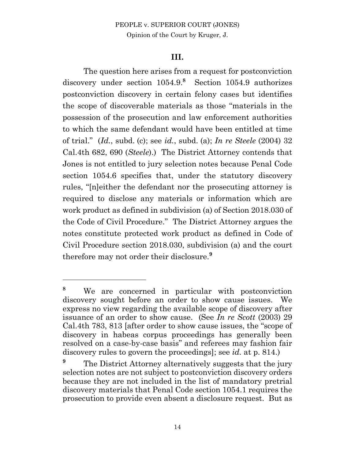### **III.**

The question here arises from a request for postconviction discovery under section  $1054.9$ <sup>8</sup> Section  $1054.9$  authorizes postconviction discovery in certain felony cases but identifies the scope of discoverable materials as those "materials in the possession of the prosecution and law enforcement authorities to which the same defendant would have been entitled at time of trial." (*Id.*, subd. (c); see *id.*, subd. (a); *In re Steele* (2004) 32 Cal.4th 682, 690 (*Steele*).) The District Attorney contends that Jones is not entitled to jury selection notes because Penal Code section 1054.6 specifies that, under the statutory discovery rules, "[n]either the defendant nor the prosecuting attorney is required to disclose any materials or information which are work product as defined in subdivision (a) of Section 2018.030 of the Code of Civil Procedure." The District Attorney argues the notes constitute protected work product as defined in Code of Civil Procedure section 2018.030, subdivision (a) and the court therefore may not order their disclosure. **9**

**<sup>8</sup>** We are concerned in particular with postconviction discovery sought before an order to show cause issues. We express no view regarding the available scope of discovery after issuance of an order to show cause. (See *In re Scott* (2003) 29 Cal.4th 783, 813 [after order to show cause issues, the "scope of discovery in habeas corpus proceedings has generally been resolved on a case-by-case basis" and referees may fashion fair discovery rules to govern the proceedings]; see *id.* at p. 814.)

<sup>&</sup>lt;sup>9</sup> The District Attorney alternatively suggests that the jury selection notes are not subject to postconviction discovery orders because they are not included in the list of mandatory pretrial discovery materials that Penal Code section 1054.1 requires the prosecution to provide even absent a disclosure request. But as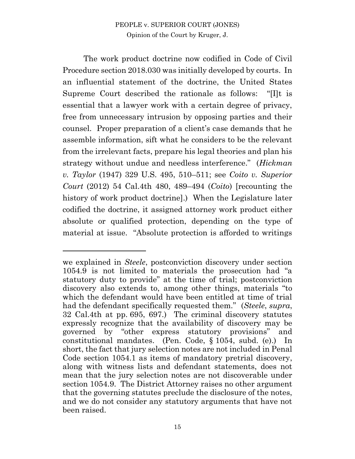The work product doctrine now codified in Code of Civil Procedure section 2018.030 was initially developed by courts. In an influential statement of the doctrine, the United States Supreme Court described the rationale as follows: "[I]t is essential that a lawyer work with a certain degree of privacy, free from unnecessary intrusion by opposing parties and their counsel. Proper preparation of a client's case demands that he assemble information, sift what he considers to be the relevant from the irrelevant facts, prepare his legal theories and plan his strategy without undue and needless interference." (*Hickman v. Taylor* (1947) 329 U.S. 495, 510–511; see *Coito v. Superior Court* (2012) 54 Cal.4th 480, 489–494 (*Coito*) [recounting the history of work product doctrine.) When the Legislature later codified the doctrine, it assigned attorney work product either absolute or qualified protection, depending on the type of material at issue. "Absolute protection is afforded to writings

we explained in *Steele*, postconviction discovery under section 1054.9 is not limited to materials the prosecution had "a statutory duty to provide" at the time of trial; postconviction discovery also extends to, among other things, materials "to which the defendant would have been entitled at time of trial had the defendant specifically requested them." (*Steele*, *supra*, 32 Cal.4th at pp. 695, 697.) The criminal discovery statutes expressly recognize that the availability of discovery may be governed by "other express statutory provisions" and constitutional mandates. (Pen. Code, § 1054, subd. (e).) In short, the fact that jury selection notes are not included in Penal Code section 1054.1 as items of mandatory pretrial discovery, along with witness lists and defendant statements, does not mean that the jury selection notes are not discoverable under section 1054.9. The District Attorney raises no other argument that the governing statutes preclude the disclosure of the notes, and we do not consider any statutory arguments that have not been raised.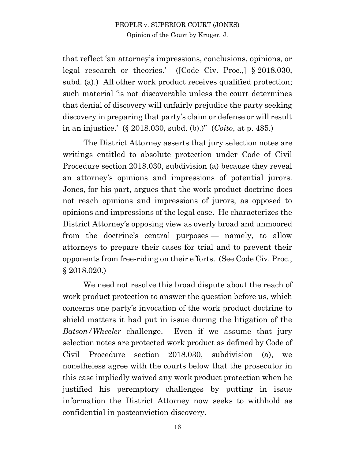that reflect 'an attorney's impressions, conclusions, opinions, or legal research or theories.' ([Code Civ. Proc.,] § 2018.030, subd. (a).) All other work product receives qualified protection; such material 'is not discoverable unless the court determines that denial of discovery will unfairly prejudice the party seeking discovery in preparing that party's claim or defense or will result in an injustice.' (§ 2018.030, subd. (b).)" (*Coito*, at p. 485.)

The District Attorney asserts that jury selection notes are writings entitled to absolute protection under Code of Civil Procedure section 2018.030, subdivision (a) because they reveal an attorney's opinions and impressions of potential jurors. Jones, for his part, argues that the work product doctrine does not reach opinions and impressions of jurors, as opposed to opinions and impressions of the legal case. He characterizes the District Attorney's opposing view as overly broad and unmoored from the doctrine's central purposes — namely, to allow attorneys to prepare their cases for trial and to prevent their opponents from free-riding on their efforts. (See Code Civ. Proc., § 2018.020.)

We need not resolve this broad dispute about the reach of work product protection to answer the question before us, which concerns one party's invocation of the work product doctrine to shield matters it had put in issue during the litigation of the *Batson/Wheeler* challenge. Even if we assume that jury selection notes are protected work product as defined by Code of Civil Procedure section 2018.030, subdivision (a), we nonetheless agree with the courts below that the prosecutor in this case impliedly waived any work product protection when he justified his peremptory challenges by putting in issue information the District Attorney now seeks to withhold as confidential in postconviction discovery.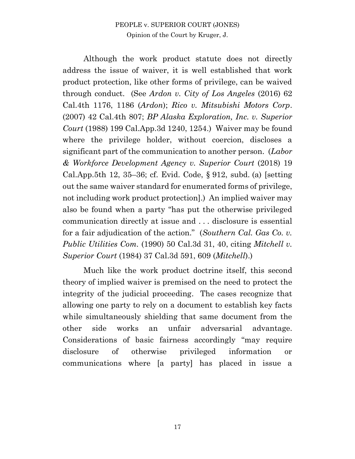Although the work product statute does not directly address the issue of waiver, it is well established that work product protection, like other forms of privilege, can be waived through conduct. (See *Ardon v. City of Los Angeles* (2016) 62 Cal.4th 1176, 1186 (*Ardon*); *Rico v. Mitsubishi Motors Corp*. (2007) 42 Cal.4th 807; *BP Alaska Exploration, Inc. v. Superior Court* (1988) 199 Cal.App.3d 1240, 1254.) Waiver may be found where the privilege holder, without coercion, discloses a significant part of the communication to another person. (*Labor & Workforce Development Agency v. Superior Court* (2018) 19 Cal.App.5th 12, 35–36; cf. Evid. Code, § 912, subd. (a) [setting out the same waiver standard for enumerated forms of privilege, not including work product protection].) An implied waiver may also be found when a party "has put the otherwise privileged communication directly at issue and . . . disclosure is essential for a fair adjudication of the action." (*Southern Cal. Gas Co. v. Public Utilities Com.* (1990) 50 Cal.3d 31, 40, citing *Mitchell v. Superior Court* (1984) 37 Cal.3d 591, 609 (*Mitchell*).)

Much like the work product doctrine itself, this second theory of implied waiver is premised on the need to protect the integrity of the judicial proceeding. The cases recognize that allowing one party to rely on a document to establish key facts while simultaneously shielding that same document from the other side works an unfair adversarial advantage. Considerations of basic fairness accordingly "may require disclosure of otherwise privileged information or communications where [a party] has placed in issue a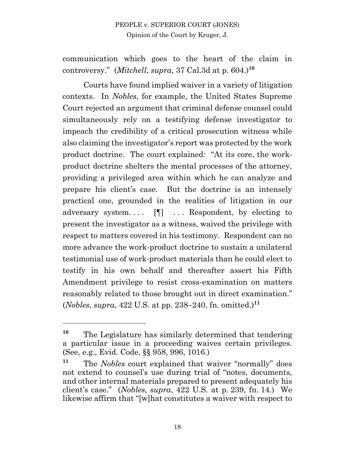communication which goes to the heart of the claim in controversy." (*Mitchell*, *supra*, 37 Cal.3d at p. 604.)**<sup>10</sup>**

Courts have found implied waiver in a variety of litigation contexts. In *Nobles*, for example, the United States Supreme Court rejected an argument that criminal defense counsel could simultaneously rely on a testifying defense investigator to impeach the credibility of a critical prosecution witness while also claiming the investigator's report was protected by the work product doctrine. The court explained: "At its core, the workproduct doctrine shelters the mental processes of the attorney, providing a privileged area within which he can analyze and prepare his client's case. But the doctrine is an intensely practical one, grounded in the realities of litigation in our adversary system.... [1] ... Respondent, by electing to present the investigator as a witness, waived the privilege with respect to matters covered in his testimony. Respondent can no more advance the work-product doctrine to sustain a unilateral testimonial use of work-product materials than he could elect to testify in his own behalf and thereafter assert his Fifth Amendment privilege to resist cross-examination on matters reasonably related to those brought out in direct examination." (*Nobles*, *supra*, 422 U.S. at pp. 238–240, fn. omitted.)**<sup>11</sup>**

**<sup>10</sup>** The Legislature has similarly determined that tendering a particular issue in a proceeding waives certain privileges. (See, e.g., Evid. Code, §§ 958, 996, 1016.)

**<sup>11</sup>** The *Nobles* court explained that waiver "normally" does not extend to counsel's use during trial of "notes, documents, and other internal materials prepared to present adequately his client's case." (*Nobles*, *supra*, 422 U.S. at p. 239, fn. 14.) We likewise affirm that "[w]hat constitutes a waiver with respect to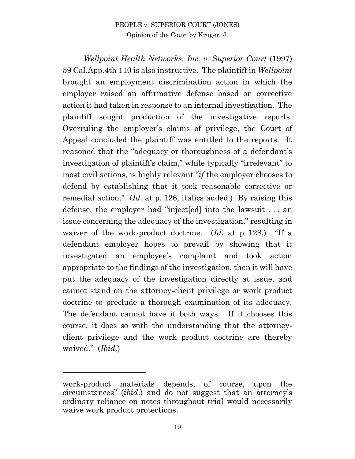*Wellpoint Health Networks, Inc. v. Superior Court* (1997) 59 Cal.App.4th 110 is also instructive. The plaintiff in *Wellpoint*  brought an employment discrimination action in which the employer raised an affirmative defense based on corrective action it had taken in response to an internal investigation. The plaintiff sought production of the investigative reports. Overruling the employer's claims of privilege, the Court of Appeal concluded the plaintiff was entitled to the reports. It reasoned that the "adequacy or thoroughness of a defendant's investigation of plaintiff's claim," while typically "irrelevant" to most civil actions, is highly relevant "*if* the employer chooses to defend by establishing that it took reasonable corrective or remedial action." (*Id.* at p. 126, italics added.) By raising this defense, the employer had "inject[ed] into the lawsuit . . . an issue concerning the adequacy of the investigation," resulting in waiver of the work-product doctrine. (*Id.* at p. 128.) "If a defendant employer hopes to prevail by showing that it investigated an employee's complaint and took action appropriate to the findings of the investigation, then it will have put the adequacy of the investigation directly at issue, and cannot stand on the attorney-client privilege or work product doctrine to preclude a thorough examination of its adequacy. The defendant cannot have it both ways. If it chooses this course, it does so with the understanding that the attorneyclient privilege and the work product doctrine are thereby waived." (*Ibid.*)

work-product materials depends, of course, upon the circumstances" (*ibid*.) and do not suggest that an attorney's ordinary reliance on notes throughout trial would necessarily waive work product protections.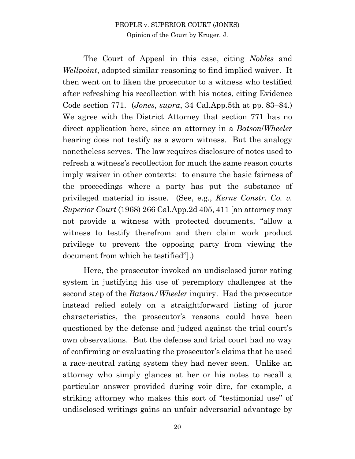The Court of Appeal in this case, citing *Nobles* and *Wellpoint*, adopted similar reasoning to find implied waiver. It then went on to liken the prosecutor to a witness who testified after refreshing his recollection with his notes, citing Evidence Code section 771. (*Jones*, *supra*, 34 Cal.App.5th at pp. 83–84.) We agree with the District Attorney that section 771 has no direct application here, since an attorney in a *Batson*/*Wheeler* hearing does not testify as a sworn witness. But the analogy nonetheless serves. The law requires disclosure of notes used to refresh a witness's recollection for much the same reason courts imply waiver in other contexts: to ensure the basic fairness of the proceedings where a party has put the substance of privileged material in issue. (See, e.g., *Kerns Constr. Co. v. Superior Court* (1968) 266 Cal.App.2d 405, 411 [an attorney may not provide a witness with protected documents, "allow a witness to testify therefrom and then claim work product privilege to prevent the opposing party from viewing the document from which he testified"].)

Here, the prosecutor invoked an undisclosed juror rating system in justifying his use of peremptory challenges at the second step of the *Batson/Wheeler* inquiry. Had the prosecutor instead relied solely on a straightforward listing of juror characteristics, the prosecutor's reasons could have been questioned by the defense and judged against the trial court's own observations. But the defense and trial court had no way of confirming or evaluating the prosecutor's claims that he used a race-neutral rating system they had never seen. Unlike an attorney who simply glances at her or his notes to recall a particular answer provided during voir dire, for example, a striking attorney who makes this sort of "testimonial use" of undisclosed writings gains an unfair adversarial advantage by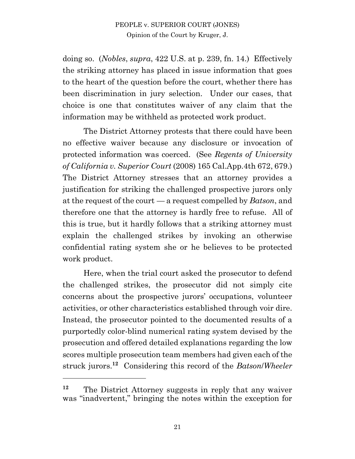doing so. (*Nobles*, *supra*, 422 U.S. at p. 239, fn. 14.) Effectively the striking attorney has placed in issue information that goes to the heart of the question before the court, whether there has been discrimination in jury selection. Under our cases, that choice is one that constitutes waiver of any claim that the information may be withheld as protected work product.

The District Attorney protests that there could have been no effective waiver because any disclosure or invocation of protected information was coerced. (See *Regents of University of California v. Superior Court* (2008) 165 Cal.App.4th 672, 679.) The District Attorney stresses that an attorney provides a justification for striking the challenged prospective jurors only at the request of the court — a request compelled by *Batson*, and therefore one that the attorney is hardly free to refuse. All of this is true, but it hardly follows that a striking attorney must explain the challenged strikes by invoking an otherwise confidential rating system she or he believes to be protected work product.

Here, when the trial court asked the prosecutor to defend the challenged strikes, the prosecutor did not simply cite concerns about the prospective jurors' occupations, volunteer activities, or other characteristics established through voir dire. Instead, the prosecutor pointed to the documented results of a purportedly color-blind numerical rating system devised by the prosecution and offered detailed explanations regarding the low scores multiple prosecution team members had given each of the struck jurors.**<sup>12</sup>** Considering this record of the *Batson*/*Wheeler*

**<sup>12</sup>** The District Attorney suggests in reply that any waiver was "inadvertent," bringing the notes within the exception for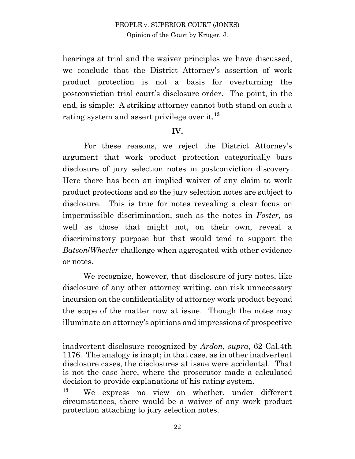hearings at trial and the waiver principles we have discussed, we conclude that the District Attorney's assertion of work product protection is not a basis for overturning the postconviction trial court's disclosure order. The point, in the end, is simple: A striking attorney cannot both stand on such a rating system and assert privilege over it. **13**

#### **IV.**

For these reasons, we reject the District Attorney's argument that work product protection categorically bars disclosure of jury selection notes in postconviction discovery. Here there has been an implied waiver of any claim to work product protections and so the jury selection notes are subject to disclosure. This is true for notes revealing a clear focus on impermissible discrimination, such as the notes in *Foster*, as well as those that might not, on their own, reveal a discriminatory purpose but that would tend to support the *Batson*/*Wheeler* challenge when aggregated with other evidence or notes.

We recognize, however, that disclosure of jury notes, like disclosure of any other attorney writing, can risk unnecessary incursion on the confidentiality of attorney work product beyond the scope of the matter now at issue. Though the notes may illuminate an attorney's opinions and impressions of prospective

inadvertent disclosure recognized by *Ardon*, *supra*, 62 Cal.4th 1176. The analogy is inapt; in that case, as in other inadvertent disclosure cases, the disclosures at issue were accidental. That is not the case here, where the prosecutor made a calculated decision to provide explanations of his rating system.

**<sup>13</sup>** We express no view on whether, under different circumstances, there would be a waiver of any work product protection attaching to jury selection notes.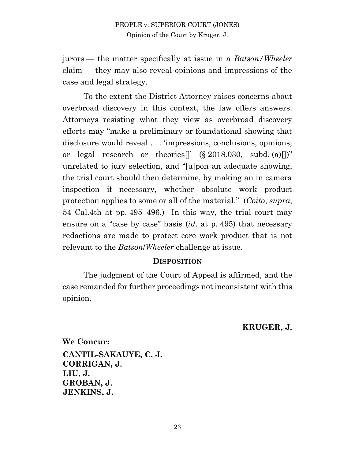jurors — the matter specifically at issue in a *Batson/Wheeler* claim — they may also reveal opinions and impressions of the case and legal strategy.

To the extent the District Attorney raises concerns about overbroad discovery in this context, the law offers answers. Attorneys resisting what they view as overbroad discovery efforts may "make a preliminary or foundational showing that disclosure would reveal . . . 'impressions, conclusions, opinions, or legal research or theories<sup>[]</sup>' (§ 2018.030, subd. (a)[])" unrelated to jury selection, and "[u]pon an adequate showing, the trial court should then determine, by making an in camera inspection if necessary, whether absolute work product protection applies to some or all of the material." (*Coito*, *supra*, 54 Cal.4th at pp. 495–496.) In this way, the trial court may ensure on a "case by case" basis (*id*. at p. 495) that necessary redactions are made to protect core work product that is not relevant to the *Batson*/*Wheeler* challenge at issue.

#### **DISPOSITION**

The judgment of the Court of Appeal is affirmed, and the case remanded for further proceedings not inconsistent with this opinion.

**KRUGER, J.**

**We Concur: CANTIL-SAKAUYE, C. J. CORRIGAN, J. LIU, J. GROBAN, J. JENKINS, J.**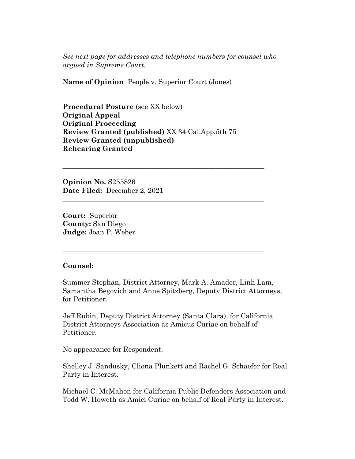*See next page for addresses and telephone numbers for counsel who argued in Supreme Court.*

**\_\_\_\_\_\_\_\_\_\_\_\_\_\_\_\_\_\_\_\_\_\_\_\_\_\_\_\_\_\_\_\_\_\_\_\_\_\_\_\_\_\_\_\_\_\_\_\_\_\_\_\_\_\_\_\_\_\_** 

**\_\_\_\_\_\_\_\_\_\_\_\_\_\_\_\_\_\_\_\_\_\_\_\_\_\_\_\_\_\_\_\_\_\_\_\_\_\_\_\_\_\_\_\_\_\_\_\_\_\_\_\_\_\_\_\_\_\_** 

**\_\_\_\_\_\_\_\_\_\_\_\_\_\_\_\_\_\_\_\_\_\_\_\_\_\_\_\_\_\_\_\_\_\_\_\_\_\_\_\_\_\_\_\_\_\_\_\_\_\_\_\_\_\_\_\_\_\_** 

**\_\_\_\_\_\_\_\_\_\_\_\_\_\_\_\_\_\_\_\_\_\_\_\_\_\_\_\_\_\_\_\_\_\_\_\_\_\_\_\_\_\_\_\_\_\_\_\_\_\_\_\_\_\_\_\_\_\_** 

**Name of Opinion** People v. Superior Court (Jones)

**Procedural Posture** (see XX below) **Original Appeal Original Proceeding Review Granted (published)** XX 34 Cal.App.5th 75 **Review Granted (unpublished) Rehearing Granted**

**Opinion No.** S255826 **Date Filed:** December 2, 2021

**Court:** Superior **County:** San Diego **Judge:** Joan P. Weber

#### **Counsel:**

Summer Stephan, District Attorney, Mark A. Amador, Linh Lam, Samantha Begovich and Anne Spitzberg, Deputy District Attorneys, for Petitioner.

Jeff Rubin, Deputy District Attorney (Santa Clara), for California District Attorneys Association as Amicus Curiae on behalf of Petitioner.

No appearance for Respondent.

Shelley J. Sandusky, Cliona Plunkett and Rachel G. Schaefer for Real Party in Interest.

Michael C. McMahon for California Public Defenders Association and Todd W. Howeth as Amici Curiae on behalf of Real Party in Interest.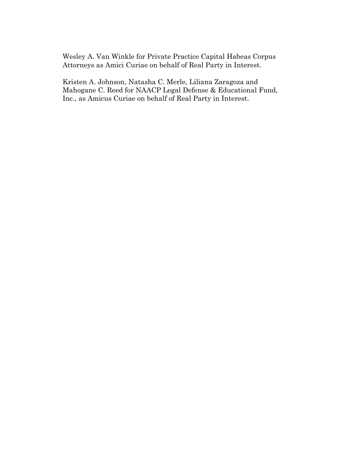Wesley A. Van Winkle for Private Practice Capital Habeas Corpus Attorneys as Amici Curiae on behalf of Real Party in Interest.

Kristen A. Johnson, Natasha C. Merle, Liliana Zaragoza and Mahogane C. Reed for NAACP Legal Defense & Educational Fund, Inc., as Amicus Curiae on behalf of Real Party in Interest.